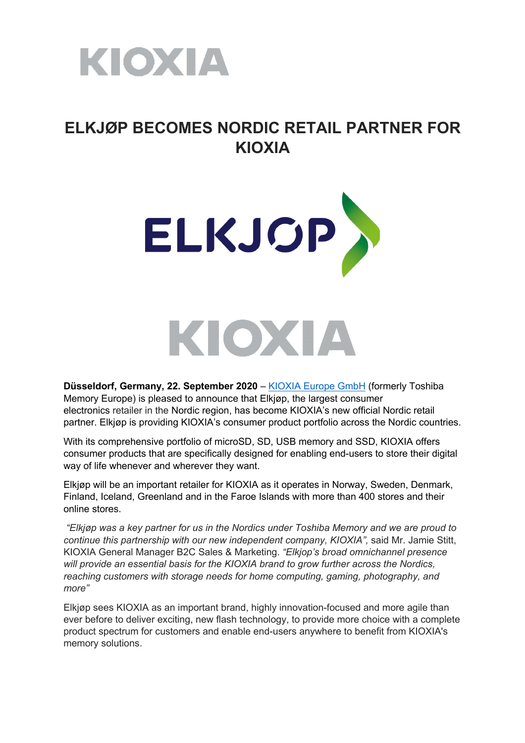

# **ELKJØP BECOMES NORDIC RETAIL PARTNER FOR KIOXIA**





**Düsseldorf, Germany, 22. September 2020** – KIOXIA Europe GmbH (formerly Toshiba Memory Europe) is pleased to announce that Elkjøp, the largest consumer electronics retailer in the Nordic region, has become KIOXIA's new official Nordic retail partner. Elkjøp is providing KIOXIA's consumer product portfolio across the Nordic countries.

With its comprehensive portfolio of microSD, SD, USB memory and SSD, KIOXIA offers consumer products that are specifically designed for enabling end-users to store their digital way of life whenever and wherever they want.

Elkjøp will be an important retailer for KIOXIA as it operates in Norway, Sweden, Denmark, Finland, Iceland, Greenland and in the Faroe Islands with more than 400 stores and their online stores.

*"Elkjøp was a key partner for us in the Nordics under Toshiba Memory and we are proud to continue this partnership with our new independent company, KIOXIA",* said Mr. Jamie Stitt, KIOXIA General Manager B2C Sales & Marketing. *"Elkjop's broad omnichannel presence will provide an essential basis for the KIOXIA brand to grow further across the Nordics, reaching customers with storage needs for home computing, gaming, photography, and more"*

Elkjøp sees KIOXIA as an important brand, highly innovation-focused and more agile than ever before to deliver exciting, new flash technology, to provide more choice with a complete product spectrum for customers and enable end-users anywhere to benefit from KIOXIA's memory solutions.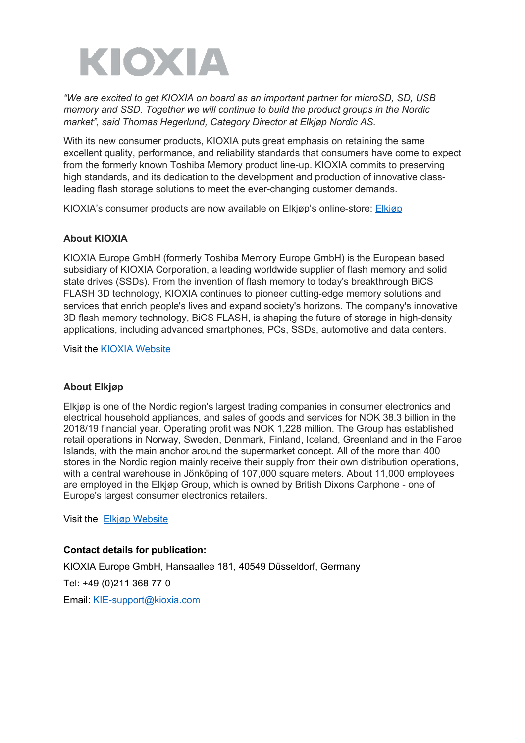

*"We are excited to get KIOXIA on board as an important partner for microSD, SD, USB memory and SSD. Together we will continue to build the product groups in the Nordic market", said Thomas Hegerlund, Category Director at Elkjøp Nordic AS.*

With its new consumer products, KIOXIA puts great emphasis on retaining the same excellent quality, performance, and reliability standards that consumers have come to expect from the formerly known Toshiba Memory product line-up. KIOXIA commits to preserving high standards, and its dedication to the development and production of innovative classleading flash storage solutions to meet the ever-changing customer demands.

KIOXIA's consumer products are now available on Elkjøp's online-store: Elkjøp

#### **About KIOXIA**

KIOXIA Europe GmbH (formerly Toshiba Memory Europe GmbH) is the European based subsidiary of KIOXIA Corporation, a leading worldwide supplier of flash memory and solid state drives (SSDs). From the invention of flash memory to today's breakthrough BiCS FLASH 3D technology, KIOXIA continues to pioneer cutting-edge memory solutions and services that enrich people's lives and expand society's horizons. The company's innovative 3D flash memory technology, BiCS FLASH, is shaping the future of storage in high-density applications, including advanced smartphones, PCs, SSDs, automotive and data centers.

Visit the KIOXIA Website

#### **About Elkjøp**

Elkjøp is one of the Nordic region's largest trading companies in consumer electronics and electrical household appliances, and sales of goods and services for NOK 38.3 billion in the 2018/19 financial year. Operating profit was NOK 1,228 million. The Group has established retail operations in Norway, Sweden, Denmark, Finland, Iceland, Greenland and in the Faroe Islands, with the main anchor around the supermarket concept. All of the more than 400 stores in the Nordic region mainly receive their supply from their own distribution operations, with a central warehouse in Jönköping of 107,000 square meters. About 11,000 employees are employed in the Elkjøp Group, which is owned by British Dixons Carphone - one of Europe's largest consumer electronics retailers.

Visit the Elkjøp Website

#### **Contact details for publication:**

KIOXIA Europe GmbH, Hansaallee 181, 40549 Düsseldorf, Germany Tel: +49 (0)211 368 77-0 Email: KIE-support@kioxia.com